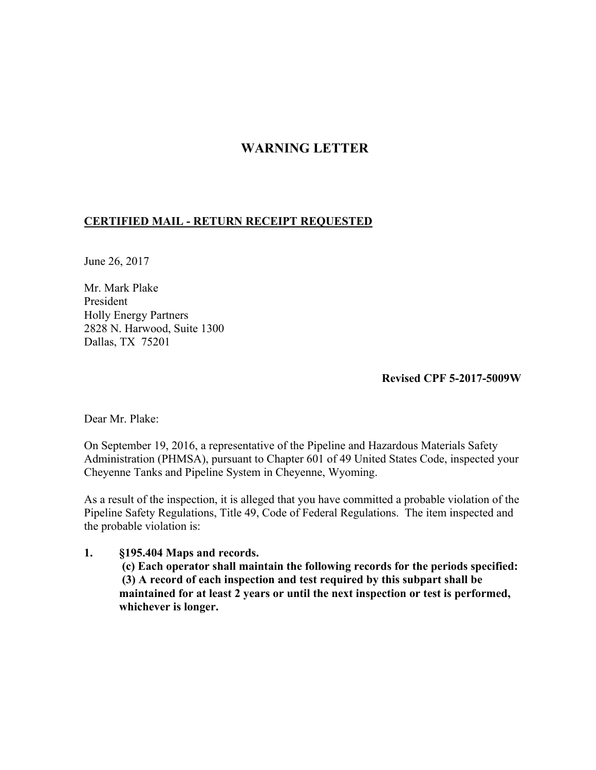## **WARNING LETTER**

## **CERTIFIED MAIL - RETURN RECEIPT REQUESTED**

June 26, 2017

Mr. Mark Plake President Holly Energy Partners 2828 N. Harwood, Suite 1300 Dallas, TX 75201

 **Revised CPF 5-2017-5009W** 

Dear Mr. Plake:

On September 19, 2016, a representative of the Pipeline and Hazardous Materials Safety Administration (PHMSA), pursuant to Chapter 601 of 49 United States Code, inspected your Cheyenne Tanks and Pipeline System in Cheyenne, Wyoming.

As a result of the inspection, it is alleged that you have committed a probable violation of the Pipeline Safety Regulations, Title 49, Code of Federal Regulations. The item inspected and the probable violation is:

## **1. §195.404 Maps and records.**

 **(c) Each operator shall maintain the following records for the periods specified: (3) A record of each inspection and test required by this subpart shall be maintained for at least 2 years or until the next inspection or test is performed, whichever is longer.**